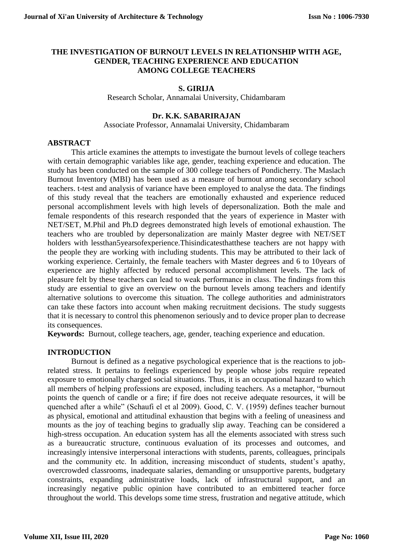### **THE INVESTIGATION OF BURNOUT LEVELS IN RELATIONSHIP WITH AGE, GENDER, TEACHING EXPERIENCE AND EDUCATION AMONG COLLEGE TEACHERS**

### **S. GIRIJA**

Research Scholar, Annamalai University, Chidambaram

### **Dr. K.K. SABARIRAJAN**

Associate Professor, Annamalai University, Chidambaram

### **ABSTRACT**

This article examines the attempts to investigate the burnout levels of college teachers with certain demographic variables like age, gender, teaching experience and education. The study has been conducted on the sample of 300 college teachers of Pondicherry. The Maslach Burnout Inventory (MBI) has been used as a measure of burnout among secondary school teachers. t-test and analysis of variance have been employed to analyse the data. The findings of this study reveal that the teachers are emotionally exhausted and experience reduced personal accomplishment levels with high levels of depersonalization. Both the male and female respondents of this research responded that the years of experience in Master with NET/SET, M.Phil and Ph.D degrees demonstrated high levels of emotional exhaustion. The teachers who are troubled by depersonalization are mainly Master degree with NET/SET holders with lessthan5yearsofexperience.Thisindicatesthatthese teachers are not happy with the people they are working with including students. This may be attributed to their lack of working experience. Certainly, the female teachers with Master degrees and 6 to 10years of experience are highly affected by reduced personal accomplishment levels. The lack of pleasure felt by these teachers can lead to weak performance in class. The findings from this study are essential to give an overview on the burnout levels among teachers and identify alternative solutions to overcome this situation. The college authorities and administrators can take these factors into account when making recruitment decisions. The study suggests that it is necessary to control this phenomenon seriously and to device proper plan to decrease its consequences.

**Keywords:** Burnout, college teachers, age, gender, teaching experience and education.

### **INTRODUCTION**

Burnout is defined as a negative psychological experience that is the reactions to jobrelated stress. It pertains to feelings experienced by people whose jobs require repeated exposure to emotionally charged social situations. Thus, it is an occupational hazard to which all members of helping professions are exposed, including teachers. As a metaphor, "burnout points the quench of candle or a fire; if fire does not receive adequate resources, it will be quenched after a while" (Schaufi el et al 2009). Good, C. V. (1959) defines teacher burnout as physical, emotional and attitudinal exhaustion that begins with a feeling of uneasiness and mounts as the joy of teaching begins to gradually slip away. Teaching can be considered a high-stress occupation. An education system has all the elements associated with stress such as a bureaucratic structure, continuous evaluation of its processes and outcomes, and increasingly intensive interpersonal interactions with students, parents, colleagues, principals and the community etc. In addition, increasing misconduct of students, student's apathy, overcrowded classrooms, inadequate salaries, demanding or unsupportive parents, budgetary constraints, expanding administrative loads, lack of infrastructural support, and an increasingly negative public opinion have contributed to an embittered teacher force throughout the world. This develops some time stress, frustration and negative attitude, which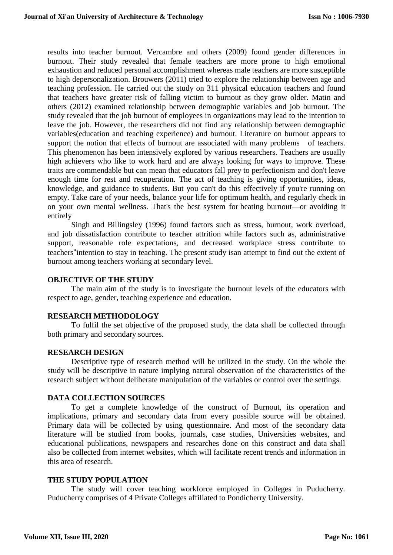results into teacher burnout. Vercambre and others (2009) found gender differences in burnout. Their study revealed that female teachers are more prone to high emotional exhaustion and reduced personal accomplishment whereas male teachers are more susceptible to high depersonalization. Brouwers (2011) tried to explore the relationship between age and teaching profession. He carried out the study on 311 physical education teachers and found that teachers have greater risk of falling victim to burnout as they grow older. Matin and others (2012) examined relationship between demographic variables and job burnout. The study revealed that the job burnout of employees in organizations may lead to the intention to leave the job. However, the researchers did not find any relationship between demographic variables(education and teaching experience) and burnout. Literature on burnout appears to support the notion that effects of burnout are associated with many problems of teachers. This phenomenon has been intensively explored by various researchers. Teachers are usually high achievers who like to work hard and are always looking for ways to improve. These traits are commendable but can mean that educators fall prey to perfectionism and don't leave enough time for rest and recuperation. The act of teaching is giving opportunities, ideas, knowledge, and guidance to students. But you can't do this effectively if you're running on empty. Take care of your needs, balance your life for optimum health, and regularly check in on your own mental wellness. That's the best system for [beating burnout—](https://www.wgu.edu/heyteach/article/10-ways-avoid-teacher-burnout-infographic1612.html)or avoiding it entirely

Singh and Billingsley (1996) found factors such as stress, burnout, work overload, and job dissatisfaction contribute to teacher attrition while factors such as, administrative support, reasonable role expectations, and decreased workplace stress contribute to teachers"intention to stay in teaching. The present study isan attempt to find out the extent of burnout among teachers working at secondary level.

### **OBJECTIVE OF THE STUDY**

The main aim of the study is to investigate the burnout levels of the educators with respect to age, gender, teaching experience and education.

#### **RESEARCH METHODOLOGY**

To fulfil the set objective of the proposed study, the data shall be collected through both primary and secondary sources.

#### **RESEARCH DESIGN**

Descriptive type of research method will be utilized in the study. On the whole the study will be descriptive in nature implying natural observation of the characteristics of the research subject without deliberate manipulation of the variables or control over the settings.

#### **DATA COLLECTION SOURCES**

To get a complete knowledge of the construct of Burnout, its operation and implications, primary and secondary data from every possible source will be obtained. Primary data will be collected by using questionnaire. And most of the secondary data literature will be studied from books, journals, case studies, Universities websites, and educational publications, newspapers and researches done on this construct and data shall also be collected from internet websites, which will facilitate recent trends and information in this area of research.

#### **THE STUDY POPULATION**

The study will cover teaching workforce employed in Colleges in Puducherry. Puducherry comprises of 4 Private Colleges affiliated to Pondicherry University.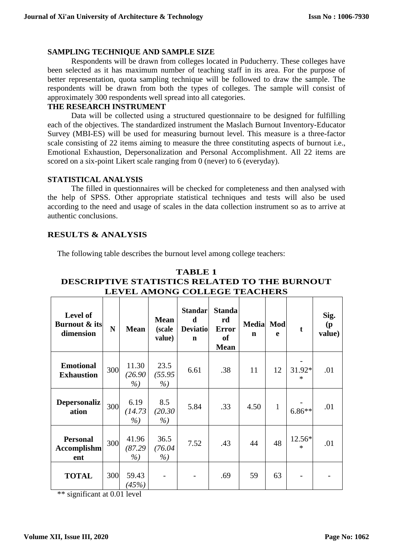### **SAMPLING TECHNIQUE AND SAMPLE SIZE**

Respondents will be drawn from colleges located in Puducherry. These colleges have been selected as it has maximum number of teaching staff in its area. For the purpose of better representation, quota sampling technique will be followed to draw the sample. The respondents will be drawn from both the types of colleges. The sample will consist of approximately 300 respondents well spread into all categories.

### **THE RESEARCH INSTRUMENT**

Data will be collected using a structured questionnaire to be designed for fulfilling each of the objectives. The standardized instrument the Maslach Burnout Inventory-Educator Survey (MBI-ES) will be used for measuring burnout level. This measure is a three-factor scale consisting of 22 items aiming to measure the three constituting aspects of burnout i.e., Emotional Exhaustion, Depersonalization and Personal Accomplishment. All 22 items are scored on a six-point Likert scale ranging from 0 (never) to 6 (everyday).

#### **STATISTICAL ANALYSIS**

The filled in questionnaires will be checked for completeness and then analysed with the help of SPSS. Other appropriate statistical techniques and tests will also be used according to the need and usage of scales in the data collection instrument so as to arrive at authentic conclusions.

### **RESULTS & ANALYSIS**

The following table describes the burnout level among college teachers:

| Level of<br>Burnout & its<br>dimension       | N   | <b>Mean</b>              | <b>Mean</b><br>(scale<br>value) | Standar<br>d<br><b>Deviatiol</b><br>$\mathbf n$ | <b>Standa</b><br>rd<br><b>Error</b><br><b>of</b><br><b>Mean</b> | Media Mod<br>$\mathbf n$ | e            | $\mathbf t$      | Sig.<br>$\mathbf{p}$<br>value) |
|----------------------------------------------|-----|--------------------------|---------------------------------|-------------------------------------------------|-----------------------------------------------------------------|--------------------------|--------------|------------------|--------------------------------|
| <b>Emotional</b><br><b>Exhaustion</b>        | 300 | 11.30<br>(26.90)<br>$\%$ | 23.5<br>(55.95<br>$\%$          | 6.61                                            | .38                                                             | 11                       | 12           | 31.92*<br>$\ast$ | .01                            |
| <b>Depersonaliz</b><br>ation                 | 300 | 6.19<br>(14.73)<br>$\%$  | 8.5<br>(20.30)<br>$\%$          | 5.84                                            | .33                                                             | 4.50                     | $\mathbf{1}$ | $6.86**$         | .01                            |
| <b>Personal</b><br><b>Accomplishm</b><br>ent | 300 | 41.96<br>(87.29)<br>%    | 36.5<br>(76.04)<br>$\%$         | 7.52                                            | .43                                                             | 44                       | 48           | 12.56*<br>$\ast$ | .01                            |
| <b>TOTAL</b>                                 | 300 | 59.43<br>(45%)           |                                 |                                                 | .69                                                             | 59                       | 63           |                  |                                |

### **TABLE 1 DESCRIPTIVE STATISTICS RELATED TO THE BURNOUT LEVEL AMONG COLLEGE TEACHERS**

\*\* significant at 0.01 level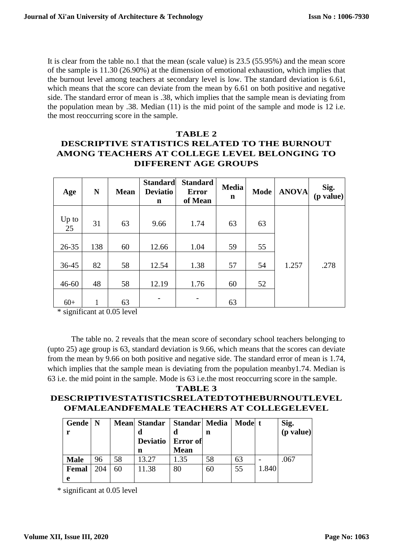It is clear from the table no.1 that the mean (scale value) is 23.5 (55.95%) and the mean score of the sample is 11.30 (26.90%) at the dimension of emotional exhaustion, which implies that the burnout level among teachers at secondary level is low. The standard deviation is 6.61, which means that the score can deviate from the mean by 6.61 on both positive and negative side. The standard error of mean is .38, which implies that the sample mean is deviating from the population mean by .38. Median (11) is the mid point of the sample and mode is 12 i.e. the most reoccurring score in the sample.

## **TABLE 2 DESCRIPTIVE STATISTICS RELATED TO THE BURNOUT AMONG TEACHERS AT COLLEGE LEVEL BELONGING TO DIFFERENT AGE GROUPS**

| Age         | N   | <b>Mean</b> | <b>Standard</b><br><b>Deviatio</b><br>n | <b>Standard</b><br><b>Error</b><br>of Mean | <b>Media</b><br>$\mathbf n$ | <b>Mode</b> | <b>ANOVA</b> | Sig.<br>$(p \text{ value})$ |
|-------------|-----|-------------|-----------------------------------------|--------------------------------------------|-----------------------------|-------------|--------------|-----------------------------|
| Up to<br>25 | 31  | 63          | 9.66                                    | 1.74                                       | 63                          | 63          |              |                             |
| $26 - 35$   | 138 | 60          | 12.66                                   | 1.04                                       | 59                          | 55          |              |                             |
| 36-45       | 82  | 58          | 12.54                                   | 1.38                                       | 57                          | 54          | 1.257        | .278                        |
| $46 - 60$   | 48  | 58          | 12.19                                   | 1.76                                       | 60                          | 52          |              |                             |
| $60+$       | 1   | 63          |                                         | -                                          | 63                          |             |              |                             |

\* significant at 0.05 level

The table no. 2 reveals that the mean score of secondary school teachers belonging to (upto 25) age group is 63, standard deviation is 9.66, which means that the scores can deviate from the mean by 9.66 on both positive and negative side. The standard error of mean is 1.74, which implies that the sample mean is deviating from the population meanby1.74. Median is 63 i.e. the mid point in the sample. Mode is 63 i.e.the most reoccurring score in the sample.

# **DESCRIPTIVESTATISTICSRELATEDTOTHEBURNOUTLEVEL OFMALEANDFEMALE TEACHERS AT COLLEGELEVEL**

**TABLE 3**

| Gende   N   |     |    | Mean Standar   Standar   Media |             |    | Mode  t |       | $\begin{bmatrix} Sig. \\ (p value) \end{bmatrix}$ |
|-------------|-----|----|--------------------------------|-------------|----|---------|-------|---------------------------------------------------|
|             |     |    | đ                              |             | n  |         |       |                                                   |
|             |     |    | Deviatio                       | Error of    |    |         |       |                                                   |
|             |     |    | n                              | <b>Mean</b> |    |         |       |                                                   |
| <b>Male</b> | 96  | 58 | 13.27                          | 1.35        | 58 | 63      |       | .067                                              |
| Femal       | 204 | 60 | 11.38                          | 80          | 60 | 55      | 1.840 |                                                   |
| e           |     |    |                                |             |    |         |       |                                                   |

\* significant at 0.05 level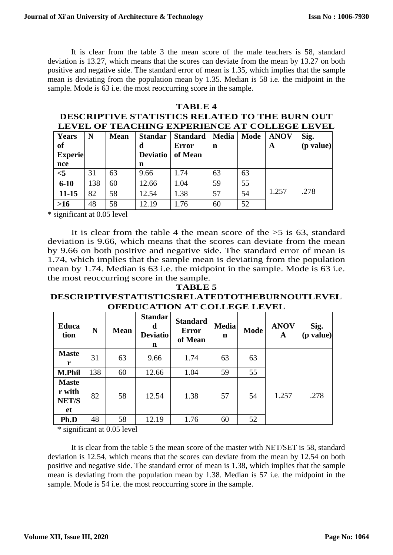It is clear from the table 3 the mean score of the male teachers is 58, standard deviation is 13.27, which means that the scores can deviate from the mean by 13.27 on both positive and negative side. The standard error of mean is 1.35, which implies that the sample mean is deviating from the population mean by 1.35. Median is 58 i.e. the midpoint in the sample. Mode is 63 i.e. the most reoccurring score in the sample.

# **TABLE 4 DESCRIPTIVE STATISTICS RELATED TO THE BURN OUT LEVEL OF TEACHING EXPERIENCE AT COLLEGE LEVEL**

| Years<br>of<br><b>Experie</b> | N   | <b>Mean</b> | <b>Standar</b><br>d<br><b>Deviatio</b> | <b>Standard</b><br><b>Error</b><br>of Mean | Media<br>n | Mode | <b>ANOV</b><br>A | Sig.<br>$(p \text{ value})$ |
|-------------------------------|-----|-------------|----------------------------------------|--------------------------------------------|------------|------|------------------|-----------------------------|
| nce                           |     |             | n                                      |                                            |            |      |                  |                             |
| < 5                           | 31  | 63          | 9.66                                   | 1.74                                       | 63         | 63   |                  |                             |
| $6 - 10$                      | 138 | 60          | 12.66                                  | 1.04                                       | 59         | 55   |                  |                             |
| $11 - 15$                     | 82  | 58          | 12.54                                  | 1.38                                       | 57         | 54   | 1.257            | .278                        |
| $>16$                         | 48  | 58          | 12.19                                  | 1.76                                       | 60         | 52   |                  |                             |

\* significant at 0.05 level

It is clear from the table 4 the mean score of the  $>5$  is 63, standard deviation is 9.66, which means that the scores can deviate from the mean by 9.66 on both positive and negative side. The standard error of mean is 1.74, which implies that the sample mean is deviating from the population mean by 1.74. Median is 63 i.e. the midpoint in the sample. Mode is 63 i.e. the most reoccurring score in the sample.

### **TABLE 5 DESCRIPTIVESTATISTICSRELATEDTOTHEBURNOUTLEVEL OFEDUCATION AT COLLEGE LEVEL**

| <b>Educa</b><br>tion                         | N   | <b>Mean</b> | <b>Standar</b><br>d<br><b>Deviatio</b><br>n | <b>Standard</b><br><b>Error</b><br>of Mean | <b>Media</b><br>$\mathbf n$ | <b>Mode</b> | <b>ANOV</b><br>A | Sig.<br>(p value) |
|----------------------------------------------|-----|-------------|---------------------------------------------|--------------------------------------------|-----------------------------|-------------|------------------|-------------------|
| <b>Maste</b><br>r                            | 31  | 63          | 9.66                                        | 1.74                                       | 63                          | 63          |                  |                   |
| <b>M.Phil</b>                                | 138 | 60          | 12.66                                       | 1.04                                       | 59                          | 55          |                  |                   |
| <b>Maste</b><br>r with<br><b>NET/S</b><br>et | 82  | 58          | 12.54                                       | 1.38                                       | 57                          | 54          | 1.257            | .278              |
| Ph.D                                         | 48  | 58          | 12.19                                       | 1.76                                       | 60                          | 52          |                  |                   |

\* significant at 0.05 level

It is clear from the table 5 the mean score of the master with NET/SET is 58, standard deviation is 12.54, which means that the scores can deviate from the mean by 12.54 on both positive and negative side. The standard error of mean is 1.38, which implies that the sample mean is deviating from the population mean by 1.38. Median is 57 i.e. the midpoint in the sample. Mode is 54 i.e. the most reoccurring score in the sample.